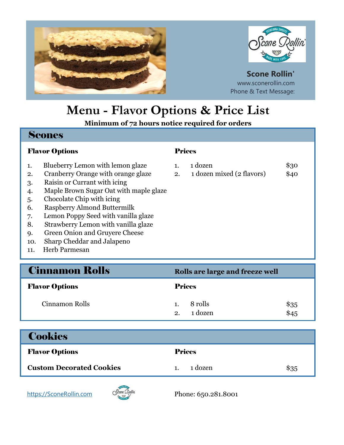



## **Scone Rollin'** www.sconerollin.com Phone & Text Message:

# **Menu - Flavor Options & Price List**

**Minimum of 72 hours notice required for orders**

## Scones

## **Flavor Options Prices**

- 1. Blueberry Lemon with lemon glaze
- 2. Cranberry Orange with orange glaze 2. 1 dozen mixed (2 flavors) \$40
- 3. Raisin or Currant with icing
- 4. Maple Brown Sugar Oat with maple glaze
- 5. Chocolate Chip with icing
- 6. Raspberry Almond Buttermilk
- 7. Lemon Poppy Seed with vanilla glaze
- 8. Strawberry Lemon with vanilla glaze
- 9. Green Onion and Gruyere Cheese
- 10. Sharp Cheddar and Jalapeno
- 11. Herb Parmesan

| 1 dozen                     | \$30                  |
|-----------------------------|-----------------------|
| $1 - \ldots - 1$ (a flamen) | $\uparrow$ $\uparrow$ |

| <b>Cinnamon Rolls</b> | Rolls are large and freeze well          |  |  |
|-----------------------|------------------------------------------|--|--|
| <b>Flavor Options</b> | <b>Prices</b>                            |  |  |
| Cinnamon Rolls        | 8 rolls<br>\$35<br>1 dozen<br>\$45<br>2. |  |  |
|                       |                                          |  |  |

| <b>Cookies</b> |
|----------------|
|                |

| <b>Flavor Options</b>           | <b>Prices</b> |      |
|---------------------------------|---------------|------|
| <b>Custom Decorated Cookies</b> | 1 dozen       | \$35 |

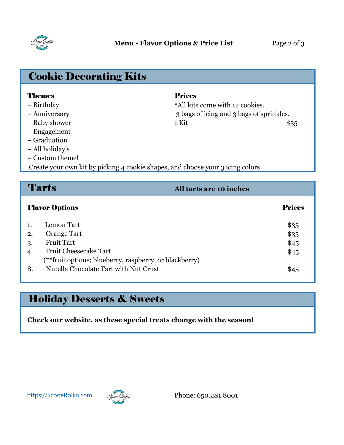

| <b>Cookie Decorating Kits</b>                                                  |                                          |      |
|--------------------------------------------------------------------------------|------------------------------------------|------|
| <b>Themes</b>                                                                  | <b>Prices</b>                            |      |
| - Birthday                                                                     | *All kits come with 12 cookies,          |      |
| - Anniversary                                                                  | 3 bags of icing and 3 bags of sprinkles. |      |
| - Baby shower                                                                  | 1 Kit                                    | \$35 |
| - Engagement                                                                   |                                          |      |
| – Graduation                                                                   |                                          |      |
| – All holiday's                                                                |                                          |      |
| - Custom theme!                                                                |                                          |      |
| Create your own kit by picking 4 cookie shapes, and choose your 3 icing colors |                                          |      |
|                                                                                |                                          |      |

|    | <b>Tarts</b>                                           | All tarts are 10 inches |
|----|--------------------------------------------------------|-------------------------|
|    | <b>Flavor Options</b>                                  | <b>Prices</b>           |
|    | Lemon Tart                                             | \$35                    |
| 2. | Orange Tart                                            | \$35                    |
| 3. | <b>Fruit Tart</b>                                      | \$45                    |
| 4. | <b>Fruit Cheesecake Tart</b>                           | \$45                    |
|    | (**fruit options; blueberry, raspberry, or blackberry) |                         |
| 8. | Nutella Chocolate Tart with Nut Crust                  | \$45                    |
|    |                                                        |                         |

# Holiday Desserts & Sweets

**Check our website, as these special treats change with the season!**